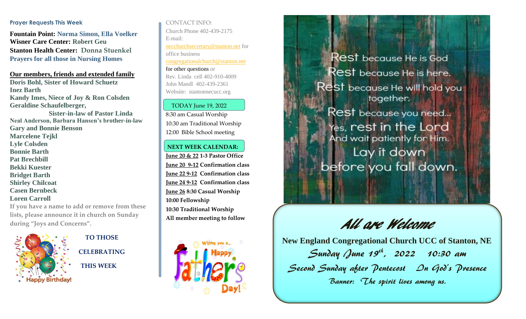#### **Prayer Requests This Week**

**Fountain Point: Norma Simon, Ella Voelker Wisner Care Center: Robert Geu Stanton Health Center: Donna Stuenkel Prayers for all those in Nursing Homes**

**Our members, friends and extended family Doris Bohl, Sister of Howard Schuetz Inez Barth Kandy Imes, Niece of Joy & Ron Colsden Geraldine Schaufelberger, Sister-in-law of Pastor Linda Neal Anderson, Barbara Hansen's brother-in-law Gary and Bonnie Benson Marcelene Tejkl Lyle Colsden Bonnie Barth Pat Brechbill Bekki Kuester Bridget Barth Shirley Chilcoat Casen Bernbeck Loren Carroll**

**If you have a name to add or remove from these lists, please announce it in church on Sunday during "Joys and Concerns".**



 **TO THOSE CELEBRATING THIS WEEK**

CONTACT INFO: Church Phone 402-439-2175 E-mail: [necchurchsecretary@stanton.net](mailto:necchurchsecretary@stanton.net) for office business [congregationalchurch@stanton.net](mailto:congregationalchurch@stanton.net) for other questions or Rev. Linda cell 402-910-4009 John Mandl 402-439-2361

Website: stantonnecucc.org TODAY June 19, 2022

8:30 am Casual Worship 10:30 am Traditional Worship 12:00 Bible School meeting

# **NEXT WEEK CALENDAR:**

**June 20 & 22 1-3 Pastor Office June 20 9-12 Confirmation class June 22 9-12 Confirmation class June 24 9-12 Confirmation class June 26 8:30 Casual Worship 10:00 Fellowship 10:30 Traditional Worship All member meeting to follow**



 $\sf{Rest}$  because He is God  $\operatorname{\mathsf{Res}}$ t because He is here. Rest because He will hold you together. Rest because you need... res, rest in the Lord And wait patiently for Him. Lay it down before you fall down.

All are Welcome

**New England Congregational Church UCC of Stanton, NE**  Sunday June 19<sup>th</sup>, 2022 10:30 am Second Sunday after Pentecost Dn God's Presence Banner: The spirit lives among us.